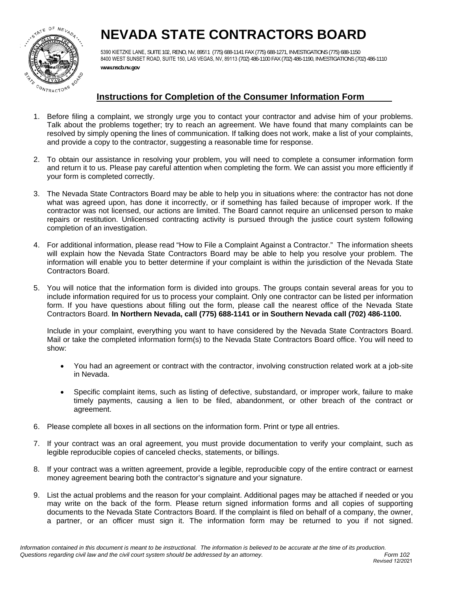

# **NEVADA STATE CONTRACTORS BOARD**

5390 KIETZKE LANE, SUITE 102, RENO, NV, 89511 (775) 688-1141 FAX (775) 688-1271, INVESTIGATIONS (775) 688-1150 8400 WEST SUNSET ROAD, SUITE 150, LAS VEGAS, NV, 89113 (702) 486-1100 FAX (702) 486-1190, INVESTIGATIONS (702) 486-1110 **www.nscb.nv.gov**

## **Instructions for Completion of the Consumer Information Form**

- 1. Before filing a complaint, we strongly urge you to contact your contractor and advise him of your problems. Talk about the problems together; try to reach an agreement. We have found that many complaints can be resolved by simply opening the lines of communication. If talking does not work, make a list of your complaints, and provide a copy to the contractor, suggesting a reasonable time for response.
- 2. To obtain our assistance in resolving your problem, you will need to complete a consumer information form and return it to us. Please pay careful attention when completing the form. We can assist you more efficiently if your form is completed correctly.
- 3. The Nevada State Contractors Board may be able to help you in situations where: the contractor has not done what was agreed upon, has done it incorrectly, or if something has failed because of improper work. If the contractor was not licensed, our actions are limited. The Board cannot require an unlicensed person to make repairs or restitution. Unlicensed contracting activity is pursued through the justice court system following completion of an investigation.
- 4. For additional information, please read "How to File a Complaint Against a Contractor." The information sheets will explain how the Nevada State Contractors Board may be able to help you resolve your problem. The information will enable you to better determine if your complaint is within the jurisdiction of the Nevada State Contractors Board.
- 5. You will notice that the information form is divided into groups. The groups contain several areas for you to include information required for us to process your complaint. Only one contractor can be listed per information form. If you have questions about filling out the form, please call the nearest office of the Nevada State Contractors Board. **In Northern Nevada, call (775) 688-1141 or in Southern Nevada call (702) 486-1100.**

Include in your complaint, everything you want to have considered by the Nevada State Contractors Board. Mail or take the completed information form(s) to the Nevada State Contractors Board office. You will need to show:

- You had an agreement or contract with the contractor, involving construction related work at a job-site in Nevada.
- Specific complaint items, such as listing of defective, substandard, or improper work, failure to make timely payments, causing a lien to be filed, abandonment, or other breach of the contract or agreement.
- 6. Please complete all boxes in all sections on the information form. Print or type all entries.
- 7. If your contract was an oral agreement, you must provide documentation to verify your complaint, such as legible reproducible copies of canceled checks, statements, or billings.
- 8. If your contract was a written agreement, provide a legible, reproducible copy of the entire contract or earnest money agreement bearing both the contractor's signature and your signature.
- 9. List the actual problems and the reason for your complaint. Additional pages may be attached if needed or you may write on the back of the form. Please return signed information forms and all copies of supporting documents to the Nevada State Contractors Board. If the complaint is filed on behalf of a company, the owner, a partner, or an officer must sign it. The information form may be returned to you if not signed.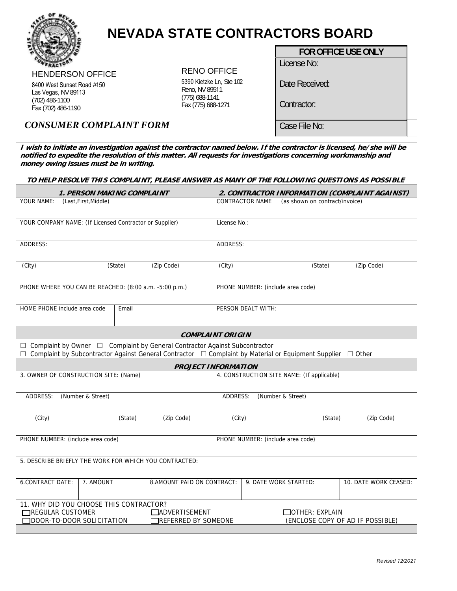

# **NEVADA STATE CONTRACTORS BOARD**

## HENDERSON OFFICE

8400 West Sunset Road #150 Las Vegas, NV 89113 (702) 486-1100 Fax (702) 486-1190

## RENO OFFICE

5390 Kietzke Ln, Ste 102 Reno, NV 89511 (775) 688-1141 Fax (775) 688-1271

## **FOR OFFICE USE ONLY**

License No:

Date Received:

Contractor:

Case File No:

# *CONSUMER COMPLAINT FORM*

**I wish to initiate an investigation against the contractor named below. If the contractor is licensed, he/she will be notified to expedite the resolution of this matter. All requests for investigations concerning workmanship and money owing issues must be in writing.** 

| TO HELP RESOLVE THIS COMPLAINT, PLEASE ANSWER AS MANY OF THE FOLLOWING QUESTIONS AS POSSIBLE                                                                                                |                            |              |                                                           |  |
|---------------------------------------------------------------------------------------------------------------------------------------------------------------------------------------------|----------------------------|--------------|-----------------------------------------------------------|--|
| 1. PERSON MAKING COMPLAINT                                                                                                                                                                  |                            |              | 2. CONTRACTOR INFORMATION (COMPLAINT AGAINST)             |  |
| YOUR NAME:<br>(Last, First, Middle)                                                                                                                                                         |                            |              | CONTRACTOR NAME<br>(as shown on contract/invoice)         |  |
| YOUR COMPANY NAME: (If Licensed Contractor or Supplier)                                                                                                                                     |                            | License No.: |                                                           |  |
| ADDRESS:                                                                                                                                                                                    |                            | ADDRESS:     |                                                           |  |
| (City)<br>(State)                                                                                                                                                                           | (Zip Code)                 | (City)       | (Zip Code)<br>(State)                                     |  |
| PHONE WHERE YOU CAN BE REACHED: (8:00 a.m. -5:00 p.m.)                                                                                                                                      |                            |              | PHONE NUMBER: (include area code)                         |  |
| HOME PHONE include area code<br>Email                                                                                                                                                       |                            |              | PERSON DEALT WITH:                                        |  |
| <b>COMPLAINT ORIGIN</b>                                                                                                                                                                     |                            |              |                                                           |  |
| □ Complaint by Owner □ Complaint by General Contractor Against Subcontractor<br>Complaint by Subcontractor Against General Contractor □ Complaint by Material or Equipment Supplier □ Other |                            |              |                                                           |  |
| <b>PROJECT INFORMATION</b>                                                                                                                                                                  |                            |              |                                                           |  |
| 3. OWNER OF CONSTRUCTION SITE: (Name)                                                                                                                                                       |                            |              | 4. CONSTRUCTION SITE NAME: (If applicable)                |  |
| ADDRESS:<br>(Number & Street)                                                                                                                                                               |                            | ADDRESS:     | (Number & Street)                                         |  |
| (City)<br>(State)                                                                                                                                                                           | (Zip Code)                 | (City)       | (State)<br>(Zip Code)                                     |  |
| PHONE NUMBER: (include area code)                                                                                                                                                           |                            |              | PHONE NUMBER: (include area code)                         |  |
| 5. DESCRIBE BRIEFLY THE WORK FOR WHICH YOU CONTRACTED:                                                                                                                                      |                            |              |                                                           |  |
| 6.CONTRACT DATE:<br>7. AMOUNT                                                                                                                                                               | 8.AMOUNT PAID ON CONTRACT: |              | 9. DATE WORK STARTED:<br>10. DATE WORK CEASED:            |  |
| 11. WHY DID YOU CHOOSE THIS CONTRACTOR?                                                                                                                                                     |                            |              |                                                           |  |
| <b>TREGULAR CUSTOMER</b><br><b>CADVERTISEMENT</b><br>DDOOR-TO-DOOR SOLICITATION<br>REFERRED BY SOMEONE                                                                                      |                            |              | $\Box$ OTHER: EXPLAIN<br>(ENCLOSE COPY OF AD IF POSSIBLE) |  |
|                                                                                                                                                                                             |                            |              |                                                           |  |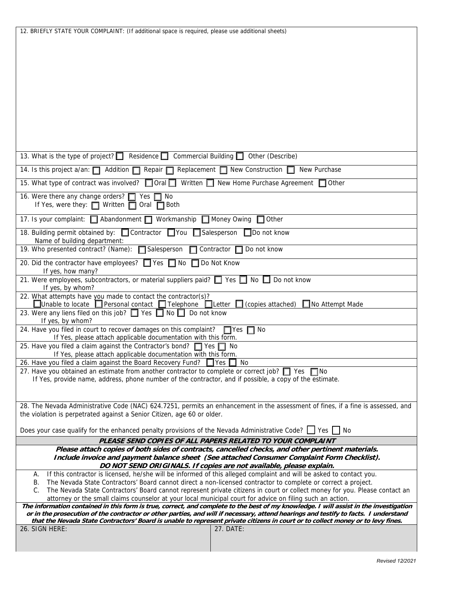| 12. BRIEFLY STATE YOUR COMPLAINT: (If additional space is required, please use additional sheets)                                                                                                                                             |  |  |  |  |
|-----------------------------------------------------------------------------------------------------------------------------------------------------------------------------------------------------------------------------------------------|--|--|--|--|
|                                                                                                                                                                                                                                               |  |  |  |  |
|                                                                                                                                                                                                                                               |  |  |  |  |
|                                                                                                                                                                                                                                               |  |  |  |  |
|                                                                                                                                                                                                                                               |  |  |  |  |
|                                                                                                                                                                                                                                               |  |  |  |  |
|                                                                                                                                                                                                                                               |  |  |  |  |
|                                                                                                                                                                                                                                               |  |  |  |  |
|                                                                                                                                                                                                                                               |  |  |  |  |
|                                                                                                                                                                                                                                               |  |  |  |  |
|                                                                                                                                                                                                                                               |  |  |  |  |
|                                                                                                                                                                                                                                               |  |  |  |  |
| 13. What is the type of project? Residence C Commercial Building C Other (Describe)                                                                                                                                                           |  |  |  |  |
| 14. Is this project a/an: 1 Addition 1 Repair Replacement 1 New Construction 1<br>New Purchase                                                                                                                                                |  |  |  |  |
| 15. What type of contract was involved? <b>□ Oral □</b> Written □ New Home Purchase Agreement □ Other                                                                                                                                         |  |  |  |  |
| 16. Were there any change orders?<br>$\Box$ No<br>Yes                                                                                                                                                                                         |  |  |  |  |
| If Yes, were they: $\Box$ Written $\Box$ Oral $\Box$ Both                                                                                                                                                                                     |  |  |  |  |
| 17. Is your complaint: <b>Q</b> Abandonment <b>Q</b> Workmanship <b>Q</b> Money Owing<br>$\Box$ Other                                                                                                                                         |  |  |  |  |
| 18. Building permit obtained by: Contractor TYou Salesperson DDo not know<br>Name of building department:                                                                                                                                     |  |  |  |  |
| 19. Who presented contract? (Name): □ Salesperson<br>$\Box$ Contractor $\Box$<br>Do not know                                                                                                                                                  |  |  |  |  |
| 20. Did the contractor have employees? ■ Yes ■ No ■ Do Not Know<br>If yes, how many?                                                                                                                                                          |  |  |  |  |
| 21. Were employees, subcontractors, or material suppliers paid? $\Box$ Yes $\Box$ No $\Box$ Do not know                                                                                                                                       |  |  |  |  |
| If yes, by whom?<br>22. What attempts have you made to contact the contractor(s)?                                                                                                                                                             |  |  |  |  |
| $\Box$ Unable to locate $\Box$ Personal contact $\Box$ Telephone $\Box$ Letter $\Box$ (copies attached)<br>$\Box$ No Attempt Made                                                                                                             |  |  |  |  |
| 23. Were any liens filed on this job? □ Yes □ No □ Do not know<br>If yes, by whom?                                                                                                                                                            |  |  |  |  |
| 24. Have you filed in court to recover damages on this complaint?<br>$\Box$ Yes $\Box$ No                                                                                                                                                     |  |  |  |  |
| If Yes, please attach applicable documentation with this form.<br>25. Have you filed a claim against the Contractor's bond? T Yes T No                                                                                                        |  |  |  |  |
| If Yes, please attach applicable documentation with this form.                                                                                                                                                                                |  |  |  |  |
| 26. Have you filed a claim against the Board Recovery Fund? $\Box$ Yes $\Box$ No                                                                                                                                                              |  |  |  |  |
| 27. Have you obtained an estimate from another contractor to complete or correct job? $\Box$ Yes $\Box$ No                                                                                                                                    |  |  |  |  |
| If Yes, provide name, address, phone number of the contractor, and if possible, a copy of the estimate.                                                                                                                                       |  |  |  |  |
|                                                                                                                                                                                                                                               |  |  |  |  |
| 28. The Nevada Administrative Code (NAC) 624.7251, permits an enhancement in the assessment of fines, if a fine is assessed, and                                                                                                              |  |  |  |  |
| the violation is perpetrated against a Senior Citizen, age 60 or older.                                                                                                                                                                       |  |  |  |  |
| Does your case qualify for the enhanced penalty provisions of the Nevada Administrative Code? I Yes No                                                                                                                                        |  |  |  |  |
| PLEASE SEND COPIES OF ALL PAPERS RELATED TO YOUR COMPLAINT                                                                                                                                                                                    |  |  |  |  |
| Please attach copies of both sides of contracts, cancelled checks, and other pertinent materials.<br>Include invoice and payment balance sheet (See attached Consumer Complaint Form Checklist).                                              |  |  |  |  |
| DO NOT SEND ORIGINALS. If copies are not available, please explain.                                                                                                                                                                           |  |  |  |  |
| If this contractor is licensed, he/she will be informed of this alleged complaint and will be asked to contact you.<br>Α.                                                                                                                     |  |  |  |  |
| The Nevada State Contractors' Board cannot direct a non-licensed contractor to complete or correct a project.<br>В.                                                                                                                           |  |  |  |  |
| The Nevada State Contractors' Board cannot represent private citizens in court or collect money for you. Please contact an<br>C.<br>attorney or the small claims counselor at your local municipal court for advice on filing such an action. |  |  |  |  |
| The information contained in this form is true, correct, and complete to the best of my knowledge. I will assist in the investigation                                                                                                         |  |  |  |  |
| or in the prosecution of the contractor or other parties, and will if necessary, attend hearings and testify to facts. I understand                                                                                                           |  |  |  |  |
| that the Nevada State Contractors' Board is unable to represent private citizens in court or to collect money or to levy fines.<br>26. SIGN HERE:<br>27. DATE:                                                                                |  |  |  |  |
|                                                                                                                                                                                                                                               |  |  |  |  |
|                                                                                                                                                                                                                                               |  |  |  |  |